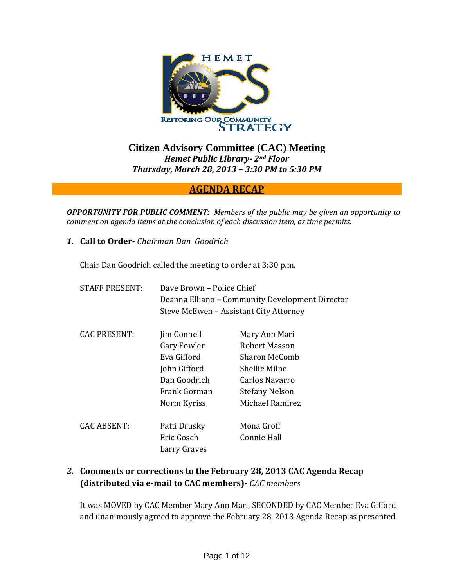

**Citizen Advisory Committee (CAC) Meeting**  *Hemet Public Library 2nd Floor Thursday, March 28, 2013 – 3:30 PM to 5:30 PM*

### **AGENDA RECAP**

*OPPORTUNITY FOR PUBLIC COMMENT: Members of the public may be given an opportunity to comment on agenda items at the conclusion of each discussion item, as time permits.*

*1.* **Call to Order** *Chairman Dan Goodrich*

Chair Dan Goodrich called the meeting to order at 3:30 p.m.

| <b>STAFF PRESENT:</b> | Dave Brown – Police Chief<br>Deanna Elliano – Community Development Director<br>Steve McEwen - Assistant City Attorney |                       |
|-----------------------|------------------------------------------------------------------------------------------------------------------------|-----------------------|
| <b>CAC PRESENT:</b>   | Jim Connell                                                                                                            | Mary Ann Mari         |
|                       | Gary Fowler                                                                                                            | Robert Masson         |
|                       | Eva Gifford                                                                                                            | Sharon McComb         |
|                       | John Gifford                                                                                                           | Shellie Milne         |
|                       | Dan Goodrich                                                                                                           | Carlos Navarro        |
|                       | Frank Gorman                                                                                                           | <b>Stefany Nelson</b> |
|                       | Norm Kyriss                                                                                                            | Michael Ramirez       |
| <b>CAC ABSENT:</b>    | Patti Drusky                                                                                                           | Mona Groff            |
|                       | Eric Gosch<br>Larry Graves                                                                                             | Connie Hall           |

## *2.* **Comments or corrections to the February 28, 2013 CAC Agenda Recap (distributed via email to CAC members)** *CAC members*

It was MOVED by CAC Member Mary Ann Mari, SECONDED by CAC Member Eva Gifford and unanimously agreed to approve the February 28, 2013 Agenda Recap as presented.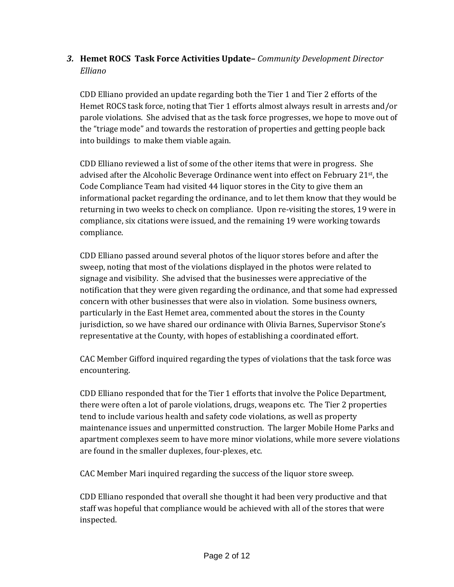# *3.* **Hemet ROCS Task Force Activities Update–** *Community Development Director Elliano*

CDD Elliano provided an update regarding both the Tier 1 and Tier 2 efforts of the Hemet ROCS task force, noting that Tier 1 efforts almost always result in arrests and/or parole violations. She advised that as the task force progresses, we hope to move out of the "triage mode" and towards the restoration of properties and getting people back into buildings to make them viable again.

CDD Elliano reviewed a list of some of the other items that were in progress. She advised after the Alcoholic Beverage Ordinance went into effect on February 21<sup>st</sup>, the Code Compliance Team had visited 44 liquor stores in the City to give them an informational packet regarding the ordinance, and to let them know that they would be returning in two weeks to check on compliance. Upon re‐visiting the stores, 19 were in compliance, six citations were issued, and the remaining 19 were working towards compliance.

CDD Elliano passed around several photos of the liquor stores before and after the sweep, noting that most of the violations displayed in the photos were related to signage and visibility. She advised that the businesses were appreciative of the notification that they were given regarding the ordinance, and that some had expressed concern with other businesses that were also in violation. Some business owners, particularly in the East Hemet area, commented about the stores in the County jurisdiction, so we have shared our ordinance with Olivia Barnes, Supervisor Stone's representative at the County, with hopes of establishing a coordinated effort.

CAC Member Gifford inquired regarding the types of violations that the task force was encountering.

CDD Elliano responded that for the Tier 1 efforts that involve the Police Department, there were often a lot of parole violations, drugs, weapons etc. The Tier 2 properties tend to include various health and safety code violations, as well as property maintenance issues and unpermitted construction. The larger Mobile Home Parks and apartment complexes seem to have more minor violations, while more severe violations are found in the smaller duplexes, four‐plexes, etc.

CAC Member Mari inquired regarding the success of the liquor store sweep.

CDD Elliano responded that overall she thought it had been very productive and that staff was hopeful that compliance would be achieved with all of the stores that were inspected.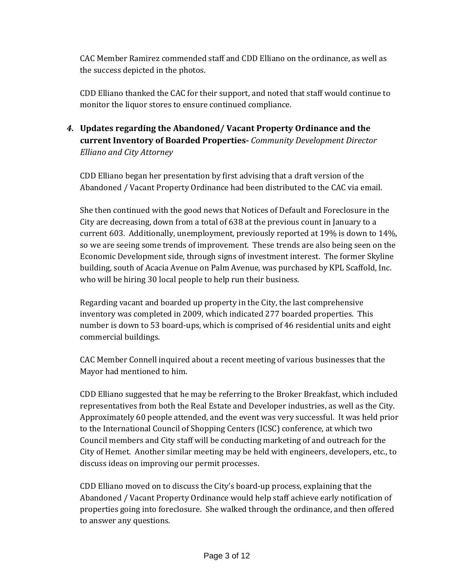CAC Member Ramirez commended staff and CDD Elliano on the ordinance, as well as the success depicted in the photos.

CDD Elliano thanked the CAC for their support, and noted that staff would continue to monitor the liquor stores to ensure continued compliance.

*4.* **Updates regarding the Abandoned/ Vacant Property Ordinance and the current Inventory of Boarded Properties** *Community Development Director Elliano and City Attorney*

CDD Elliano began her presentation by first advising that a draft version of the Abandoned / Vacant Property Ordinance had been distributed to the CAC via email.

She then continued with the good news that Notices of Default and Foreclosure in the City are decreasing, down from a total of 638 at the previous count in January to a current 603. Additionally, unemployment, previously reported at 19% is down to 14%, so we are seeing some trends of improvement. These trends are also being seen on the Economic Development side, through signs of investment interest. The former Skyline building, south of Acacia Avenue on Palm Avenue, was purchased by KPL Scaffold, Inc. who will be hiring 30 local people to help run their business.

Regarding vacant and boarded up property in the City, the last comprehensive inventory was completed in 2009, which indicated 277 boarded properties. This number is down to 53 board‐ups, which is comprised of 46 residential units and eight commercial buildings.

CAC Member Connell inquired about a recent meeting of various businesses that the Mayor had mentioned to him.

CDD Elliano suggested that he may be referring to the Broker Breakfast, which included representatives from both the Real Estate and Developer industries, as well as the City. Approximately 60 people attended, and the event was very successful. It was held prior to the International Council of Shopping Centers (ICSC) conference, at which two Council members and City staff will be conducting marketing of and outreach for the City of Hemet. Another similar meeting may be held with engineers, developers, etc., to discuss ideas on improving our permit processes.

CDD Elliano moved on to discuss the City's board‐up process, explaining that the Abandoned / Vacant Property Ordinance would help staff achieve early notification of properties going into foreclosure. She walked through the ordinance, and then offered to answer any questions.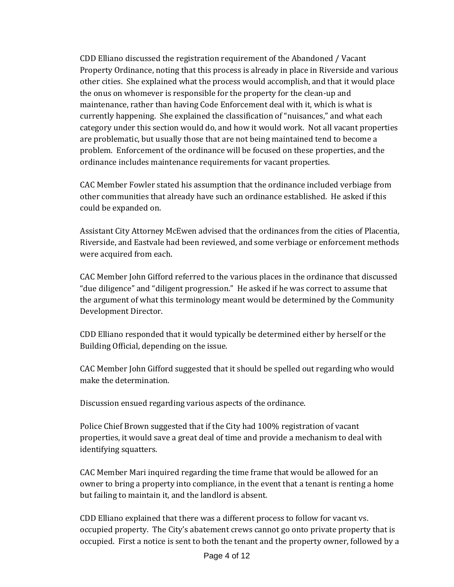CDD Elliano discussed the registration requirement of the Abandoned / Vacant Property Ordinance, noting that this process is already in place in Riverside and various other cities. She explained what the process would accomplish, and that it would place the onus on whomever is responsible for the property for the clean‐up and maintenance, rather than having Code Enforcement deal with it, which is what is currently happening. She explained the classification of "nuisances," and what each category under this section would do, and how it would work. Not all vacant properties are problematic, but usually those that are not being maintained tend to become a problem. Enforcement of the ordinance will be focused on these properties, and the ordinance includes maintenance requirements for vacant properties.

CAC Member Fowler stated his assumption that the ordinance included verbiage from other communities that already have such an ordinance established. He asked if this could be expanded on.

Assistant City Attorney McEwen advised that the ordinances from the cities of Placentia, Riverside, and Eastvale had been reviewed, and some verbiage or enforcement methods were acquired from each.

CAC Member John Gifford referred to the various places in the ordinance that discussed "due diligence" and "diligent progression." He asked if he was correct to assume that the argument of what this terminology meant would be determined by the Community Development Director.

CDD Elliano responded that it would typically be determined either by herself or the Building Official, depending on the issue.

CAC Member John Gifford suggested that it should be spelled out regarding who would make the determination.

Discussion ensued regarding various aspects of the ordinance.

Police Chief Brown suggested that if the City had 100% registration of vacant properties, it would save a great deal of time and provide a mechanism to deal with identifying squatters.

CAC Member Mari inquired regarding the time frame that would be allowed for an owner to bring a property into compliance, in the event that a tenant is renting a home but failing to maintain it, and the landlord is absent.

CDD Elliano explained that there was a different process to follow for vacant vs. occupied property. The City's abatement crews cannot go onto private property that is occupied. First a notice is sent to both the tenant and the property owner, followed by a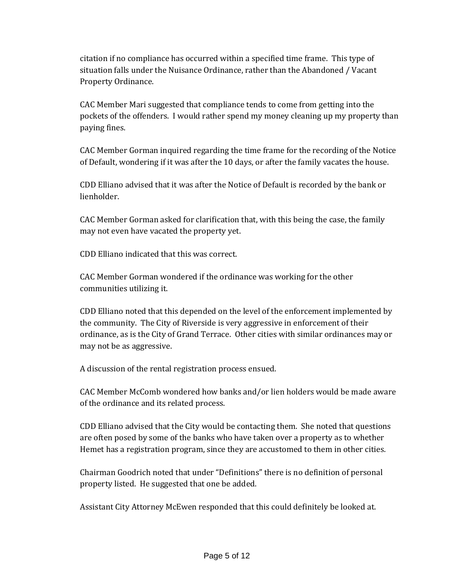citation if no compliance has occurred within a specified time frame. This type of situation falls under the Nuisance Ordinance, rather than the Abandoned / Vacant Property Ordinance.

CAC Member Mari suggested that compliance tends to come from getting into the pockets of the offenders. I would rather spend my money cleaning up my property than paying fines.

CAC Member Gorman inquired regarding the time frame for the recording of the Notice of Default, wondering if it was after the 10 days, or after the family vacates the house.

CDD Elliano advised that it was after the Notice of Default is recorded by the bank or lienholder.

CAC Member Gorman asked for clarification that, with this being the case, the family may not even have vacated the property yet.

CDD Elliano indicated that this was correct.

CAC Member Gorman wondered if the ordinance was working for the other communities utilizing it.

CDD Elliano noted that this depended on the level of the enforcement implemented by the community. The City of Riverside is very aggressive in enforcement of their ordinance, as is the City of Grand Terrace. Other cities with similar ordinances may or may not be as aggressive.

A discussion of the rental registration process ensued.

CAC Member McComb wondered how banks and/or lien holders would be made aware of the ordinance and its related process.

CDD Elliano advised that the City would be contacting them. She noted that questions are often posed by some of the banks who have taken over a property as to whether Hemet has a registration program, since they are accustomed to them in other cities.

Chairman Goodrich noted that under "Definitions" there is no definition of personal property listed. He suggested that one be added.

Assistant City Attorney McEwen responded that this could definitely be looked at.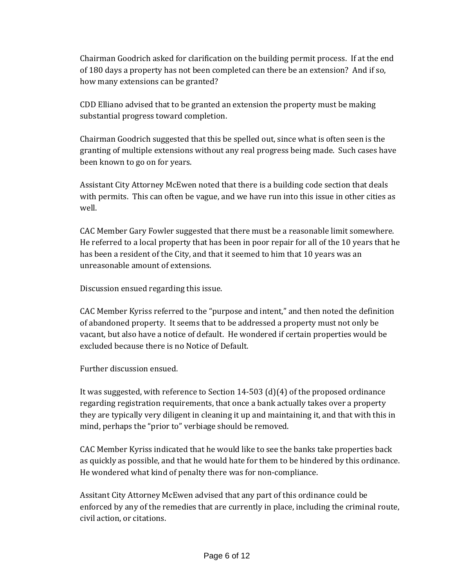Chairman Goodrich asked for clarification on the building permit process. If at the end of 180 days a property has not been completed can there be an extension? And if so, how many extensions can be granted?

CDD Elliano advised that to be granted an extension the property must be making substantial progress toward completion.

Chairman Goodrich suggested that this be spelled out, since what is often seen is the granting of multiple extensions without any real progress being made. Such cases have been known to go on for years.

Assistant City Attorney McEwen noted that there is a building code section that deals with permits. This can often be vague, and we have run into this issue in other cities as well.

CAC Member Gary Fowler suggested that there must be a reasonable limit somewhere. He referred to a local property that has been in poor repair for all of the 10 years that he has been a resident of the City, and that it seemed to him that 10 years was an unreasonable amount of extensions.

Discussion ensued regarding this issue.

CAC Member Kyriss referred to the "purpose and intent," and then noted the definition of abandoned property. It seems that to be addressed a property must not only be vacant, but also have a notice of default. He wondered if certain properties would be excluded because there is no Notice of Default.

Further discussion ensued.

It was suggested, with reference to Section 14‐503 (d)(4) of the proposed ordinance regarding registration requirements, that once a bank actually takes over a property they are typically very diligent in cleaning it up and maintaining it, and that with this in mind, perhaps the "prior to" verbiage should be removed.

CAC Member Kyriss indicated that he would like to see the banks take properties back as quickly as possible, and that he would hate for them to be hindered by this ordinance. He wondered what kind of penalty there was for non‐compliance.

Assitant City Attorney McEwen advised that any part of this ordinance could be enforced by any of the remedies that are currently in place, including the criminal route, civil action, or citations.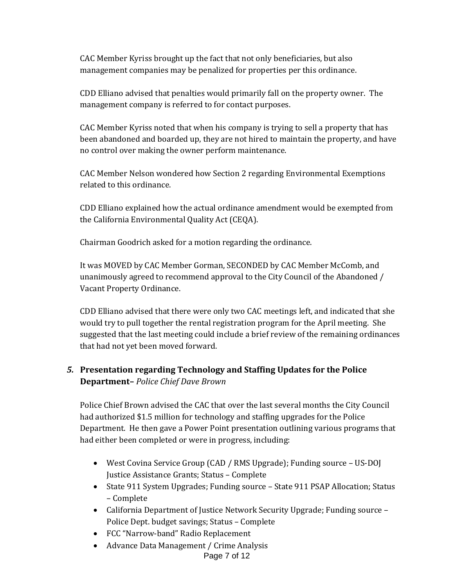CAC Member Kyriss brought up the fact that not only beneficiaries, but also management companies may be penalized for properties per this ordinance.

CDD Elliano advised that penalties would primarily fall on the property owner. The management company is referred to for contact purposes.

CAC Member Kyriss noted that when his company is trying to sell a property that has been abandoned and boarded up, they are not hired to maintain the property, and have no control over making the owner perform maintenance.

CAC Member Nelson wondered how Section 2 regarding Environmental Exemptions related to this ordinance.

CDD Elliano explained how the actual ordinance amendment would be exempted from the California Environmental Quality Act (CEQA).

Chairman Goodrich asked for a motion regarding the ordinance.

It was MOVED by CAC Member Gorman, SECONDED by CAC Member McComb, and unanimously agreed to recommend approval to the City Council of the Abandoned / Vacant Property Ordinance.

CDD Elliano advised that there were only two CAC meetings left, and indicated that she would try to pull together the rental registration program for the April meeting. She suggested that the last meeting could include a brief review of the remaining ordinances that had not yet been moved forward.

# *5.* **Presentation regarding Technology and Staffing Updates for the Police Department–** *Police Chief Dave Brown*

Police Chief Brown advised the CAC that over the last several months the City Council had authorized \$1.5 million for technology and staffing upgrades for the Police Department. He then gave a Power Point presentation outlining various programs that had either been completed or were in progress, including:

- West Covina Service Group (CAD / RMS Upgrade); Funding source US‐DOJ Justice Assistance Grants; Status – Complete
- State 911 System Upgrades; Funding source State 911 PSAP Allocation; Status – Complete
- California Department of Justice Network Security Upgrade; Funding source Police Dept. budget savings; Status – Complete
- FCC "Narrow‐band" Radio Replacement
- Advance Data Management / Crime Analysis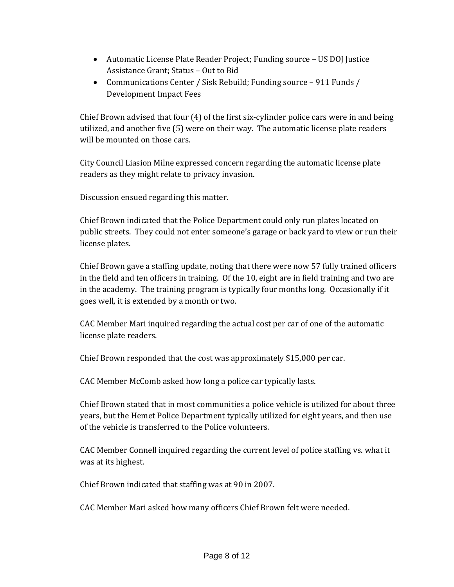- Automatic License Plate Reader Project; Funding source US DOJ Justice Assistance Grant; Status – Out to Bid
- Communications Center / Sisk Rebuild; Funding source 911 Funds / Development Impact Fees

Chief Brown advised that four (4) of the first six‐cylinder police cars were in and being utilized, and another five (5) were on their way. The automatic license plate readers will be mounted on those cars.

City Council Liasion Milne expressed concern regarding the automatic license plate readers as they might relate to privacy invasion.

Discussion ensued regarding this matter.

Chief Brown indicated that the Police Department could only run plates located on public streets. They could not enter someone's garage or back yard to view or run their license plates.

Chief Brown gave a staffing update, noting that there were now 57 fully trained officers in the field and ten officers in training. Of the 10, eight are in field training and two are in the academy. The training program is typically four months long. Occasionally if it goes well, it is extended by a month or two.

CAC Member Mari inquired regarding the actual cost per car of one of the automatic license plate readers.

Chief Brown responded that the cost was approximately \$15,000 per car.

CAC Member McComb asked how long a police car typically lasts.

Chief Brown stated that in most communities a police vehicle is utilized for about three years, but the Hemet Police Department typically utilized for eight years, and then use of the vehicle is transferred to the Police volunteers.

CAC Member Connell inquired regarding the current level of police staffing vs. what it was at its highest.

Chief Brown indicated that staffing was at 90 in 2007.

CAC Member Mari asked how many officers Chief Brown felt were needed.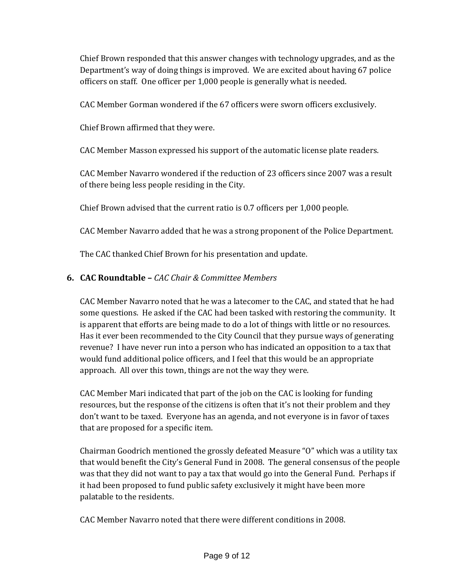Chief Brown responded that this answer changes with technology upgrades, and as the Department's way of doing things is improved. We are excited about having 67 police officers on staff. One officer per 1,000 people is generally what is needed.

CAC Member Gorman wondered if the 67 officers were sworn officers exclusively.

Chief Brown affirmed that they were.

CAC Member Masson expressed his support of the automatic license plate readers.

CAC Member Navarro wondered if the reduction of 23 officers since 2007 was a result of there being less people residing in the City.

Chief Brown advised that the current ratio is 0.7 officers per 1,000 people.

CAC Member Navarro added that he was a strong proponent of the Police Department.

The CAC thanked Chief Brown for his presentation and update.

#### **6. CAC Roundtable –** *CAC Chair & Committee Members*

CAC Member Navarro noted that he was a latecomer to the CAC, and stated that he had some questions. He asked if the CAC had been tasked with restoring the community. It is apparent that efforts are being made to do a lot of things with little or no resources. Has it ever been recommended to the City Council that they pursue ways of generating revenue? I have never run into a person who has indicated an opposition to a tax that would fund additional police officers, and I feel that this would be an appropriate approach. All over this town, things are not the way they were.

CAC Member Mari indicated that part of the job on the CAC is looking for funding resources, but the response of the citizens is often that it's not their problem and they don't want to be taxed. Everyone has an agenda, and not everyone is in favor of taxes that are proposed for a specific item.

Chairman Goodrich mentioned the grossly defeated Measure "O" which was a utility tax that would benefit the City's General Fund in 2008. The general consensus of the people was that they did not want to pay a tax that would go into the General Fund. Perhaps if it had been proposed to fund public safety exclusively it might have been more palatable to the residents.

CAC Member Navarro noted that there were different conditions in 2008.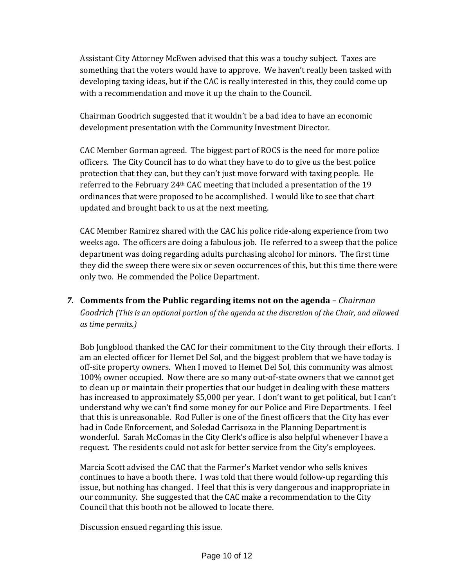Assistant City Attorney McEwen advised that this was a touchy subject. Taxes are something that the voters would have to approve. We haven't really been tasked with developing taxing ideas, but if the CAC is really interested in this, they could come up with a recommendation and move it up the chain to the Council.

Chairman Goodrich suggested that it wouldn't be a bad idea to have an economic development presentation with the Community Investment Director.

CAC Member Gorman agreed. The biggest part of ROCS is the need for more police officers. The City Council has to do what they have to do to give us the best police protection that they can, but they can't just move forward with taxing people. He referred to the February 24<sup>th</sup> CAC meeting that included a presentation of the 19 ordinances that were proposed to be accomplished. I would like to see that chart updated and brought back to us at the next meeting.

CAC Member Ramirez shared with the CAC his police ride‐along experience from two weeks ago. The officers are doing a fabulous job. He referred to a sweep that the police department was doing regarding adults purchasing alcohol for minors. The first time they did the sweep there were six or seven occurrences of this, but this time there were only two. He commended the Police Department.

## *7.* **Comments from the Public regarding items not on the agenda –** *Chairman Goodrich (This is an optional portion of the agenda at the discretion of the Chair, and allowed as time permits.)*

Bob Jungblood thanked the CAC for their commitment to the City through their efforts. I am an elected officer for Hemet Del Sol, and the biggest problem that we have today is off‐site property owners. When I moved to Hemet Del Sol, this community was almost 100% owner occupied. Now there are so many out‐of‐state owners that we cannot get to clean up or maintain their properties that our budget in dealing with these matters has increased to approximately \$5,000 per year. I don't want to get political, but I can't understand why we can't find some money for our Police and Fire Departments. I feel that this is unreasonable. Rod Fuller is one of the finest officers that the City has ever had in Code Enforcement, and Soledad Carrisoza in the Planning Department is wonderful. Sarah McComas in the City Clerk's office is also helpful whenever I have a request. The residents could not ask for better service from the City's employees.

Marcia Scott advised the CAC that the Farmer's Market vendor who sells knives continues to have a booth there. I was told that there would follow‐up regarding this issue, but nothing has changed. I feel that this is very dangerous and inappropriate in our community. She suggested that the CAC make a recommendation to the City Council that this booth not be allowed to locate there.

Discussion ensued regarding this issue.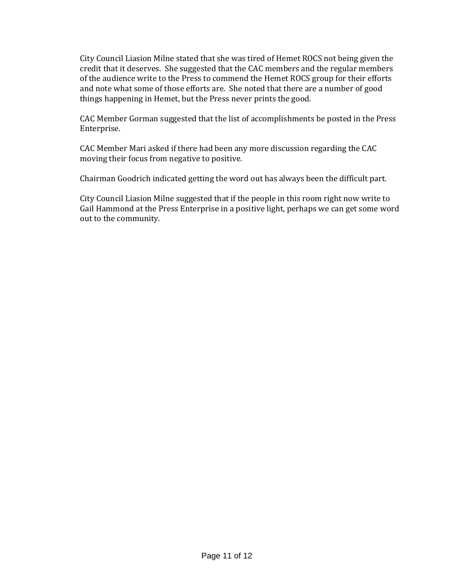City Council Liasion Milne stated that she was tired of Hemet ROCS not being given the credit that it deserves. She suggested that the CAC members and the regular members of the audience write to the Press to commend the Hemet ROCS group for their efforts and note what some of those efforts are. She noted that there are a number of good things happening in Hemet, but the Press never prints the good.

CAC Member Gorman suggested that the list of accomplishments be posted in the Press Enterprise.

CAC Member Mari asked if there had been any more discussion regarding the CAC moving their focus from negative to positive.

Chairman Goodrich indicated getting the word out has always been the difficult part.

City Council Liasion Milne suggested that if the people in this room right now write to Gail Hammond at the Press Enterprise in a positive light, perhaps we can get some word out to the community.